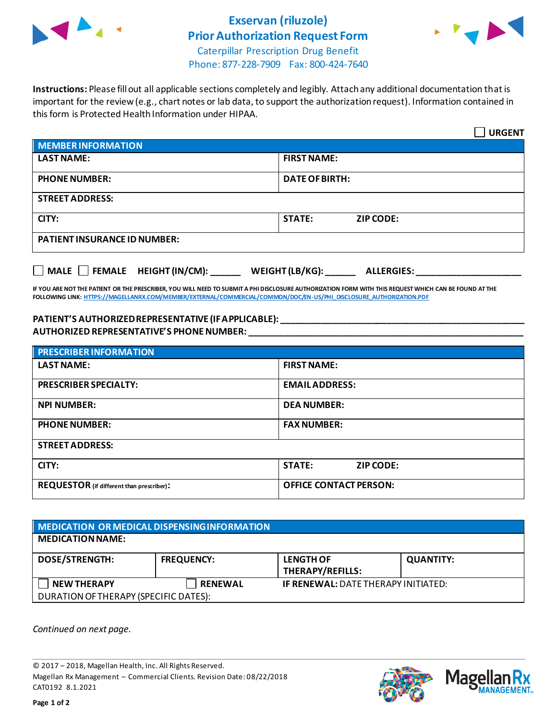

## **Exservan (riluzole) Prior Authorization Request Form**



Caterpillar Prescription Drug Benefit Phone: 877-228-7909 Fax: 800-424-7640

**Instructions:** Please fill out all applicable sections completely and legibly. Attach any additional documentation that is important for the review (e.g., chart notes or lab data, to support the authorization request). Information contained in this form is Protected Health Information under HIPAA.

|                                                                                   | <b>URGENT</b>                     |  |
|-----------------------------------------------------------------------------------|-----------------------------------|--|
| <b>MEMBER INFORMATION</b>                                                         |                                   |  |
| <b>LAST NAME:</b>                                                                 | <b>FIRST NAME:</b>                |  |
| <b>PHONE NUMBER:</b>                                                              | <b>DATE OF BIRTH:</b>             |  |
| <b>STREET ADDRESS:</b>                                                            |                                   |  |
| CITY:                                                                             | <b>STATE:</b><br><b>ZIP CODE:</b> |  |
| <b>PATIENT INSURANCE ID NUMBER:</b>                                               |                                   |  |
| $\Box$ MALE $\Box$ FEMALE HEIGHT (IN/CM):<br>WEIGHT (LB/KG):<br><b>ALLERGIES:</b> |                                   |  |

**IF YOU ARE NOT THE PATIENT OR THE PRESCRIBER, YOU WILL NEED TO SUBMIT A PHI DISCLOSURE AUTHORIZATION FORM WITH THIS REQUEST WHICH CAN BE FOUND AT THE FOLLOWING LINK[: HTTPS://MAGELLANRX.COM/MEMBER/EXTERNAL/COMMERCIAL/COMMON/DOC/EN-US/PHI\\_DISCLOSURE\\_AUTHORIZATION.PDF](https://magellanrx.com/member/external/commercial/common/doc/en-us/PHI_Disclosure_Authorization.pdf)**

## **PATIENT'S AUTHORIZED REPRESENTATIVE (IF APPLICABLE): \_\_\_\_\_\_\_\_\_\_\_\_\_\_\_\_\_\_\_\_\_\_\_\_\_\_\_\_\_\_\_\_\_\_\_\_\_\_\_\_\_\_\_\_\_\_\_\_\_ AUTHORIZED REPRESENTATIVE'S PHONE NUMBER: \_\_\_\_\_\_\_\_\_\_\_\_\_\_\_\_\_\_\_\_\_\_\_\_\_\_\_\_\_\_\_\_\_\_\_\_\_\_\_\_\_\_\_\_\_\_\_\_\_\_\_\_\_\_\_**

| <b>PRESCRIBER INFORMATION</b>             |                                   |  |  |
|-------------------------------------------|-----------------------------------|--|--|
| <b>LAST NAME:</b>                         | <b>FIRST NAME:</b>                |  |  |
| <b>PRESCRIBER SPECIALTY:</b>              | <b>EMAIL ADDRESS:</b>             |  |  |
| <b>NPI NUMBER:</b>                        | <b>DEA NUMBER:</b>                |  |  |
| <b>PHONE NUMBER:</b>                      | <b>FAX NUMBER:</b>                |  |  |
| <b>STREET ADDRESS:</b>                    |                                   |  |  |
| CITY:                                     | <b>STATE:</b><br><b>ZIP CODE:</b> |  |  |
| REQUESTOR (if different than prescriber): | <b>OFFICE CONTACT PERSON:</b>     |  |  |

## **MEDICATION OR MEDICAL DISPENSING INFORMATION MEDICATION NAME: DOSE/STRENGTH: FREQUENCY: LENGTH OF THERAPY/REFILLS: QUANTITY: NEW THERAPY RENEWAL IF RENEWAL:** DATE THERAPY INITIATED: DURATION OF THERAPY (SPECIFIC DATES):

*Continued on next page.*

© 2017 – 2018, Magellan Health, Inc. All Rights Reserved. Magellan Rx Management – Commercial Clients. Revision Date: 08/22/2018 CAT0192 8.1.2021